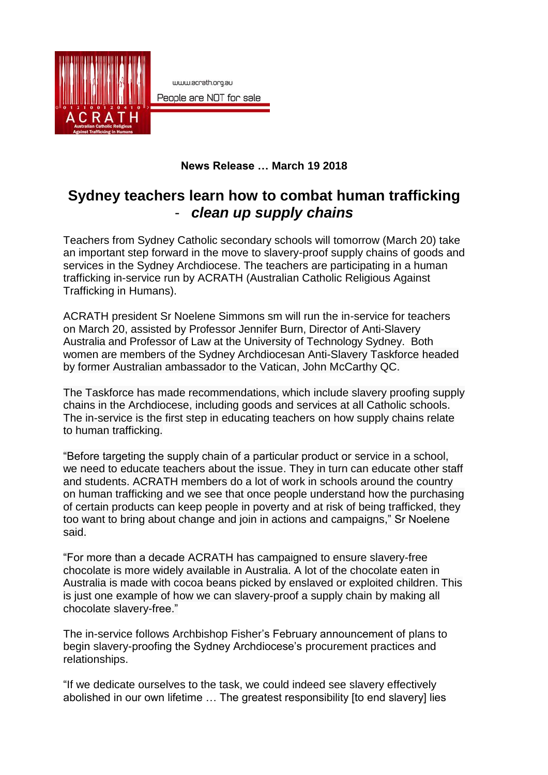

## **News Release … March 19 2018**

## **Sydney teachers learn how to combat human trafficking** - *clean up supply chains*

Teachers from Sydney Catholic secondary schools will tomorrow (March 20) take an important step forward in the move to slavery-proof supply chains of goods and services in the Sydney Archdiocese. The teachers are participating in a human trafficking in-service run by ACRATH (Australian Catholic Religious Against Trafficking in Humans).

ACRATH president Sr Noelene Simmons sm will run the in-service for teachers on March 20, assisted by Professor Jennifer Burn, Director of Anti-Slavery Australia and Professor of Law at the University of Technology Sydney. Both women are members of the Sydney Archdiocesan Anti-Slavery Taskforce headed by former Australian ambassador to the Vatican, John McCarthy QC.

The Taskforce has made recommendations, which include slavery proofing supply chains in the Archdiocese, including goods and services at all Catholic schools. The in-service is the first step in educating teachers on how supply chains relate to human trafficking.

"Before targeting the supply chain of a particular product or service in a school, we need to educate teachers about the issue. They in turn can educate other staff and students. ACRATH members do a lot of work in schools around the country on human trafficking and we see that once people understand how the purchasing of certain products can keep people in poverty and at risk of being trafficked, they too want to bring about change and join in actions and campaigns," Sr Noelene said.

"For more than a decade ACRATH has campaigned to ensure slavery-free chocolate is more widely available in Australia. A lot of the chocolate eaten in Australia is made with cocoa beans picked by enslaved or exploited children. This is just one example of how we can slavery-proof a supply chain by making all chocolate slavery-free."

The in-service follows Archbishop Fisher's February announcement of plans to begin slavery-proofing the Sydney Archdiocese's procurement practices and relationships.

"If we dedicate ourselves to the task, we could indeed see slavery effectively abolished in our own lifetime … The greatest responsibility [to end slavery] lies